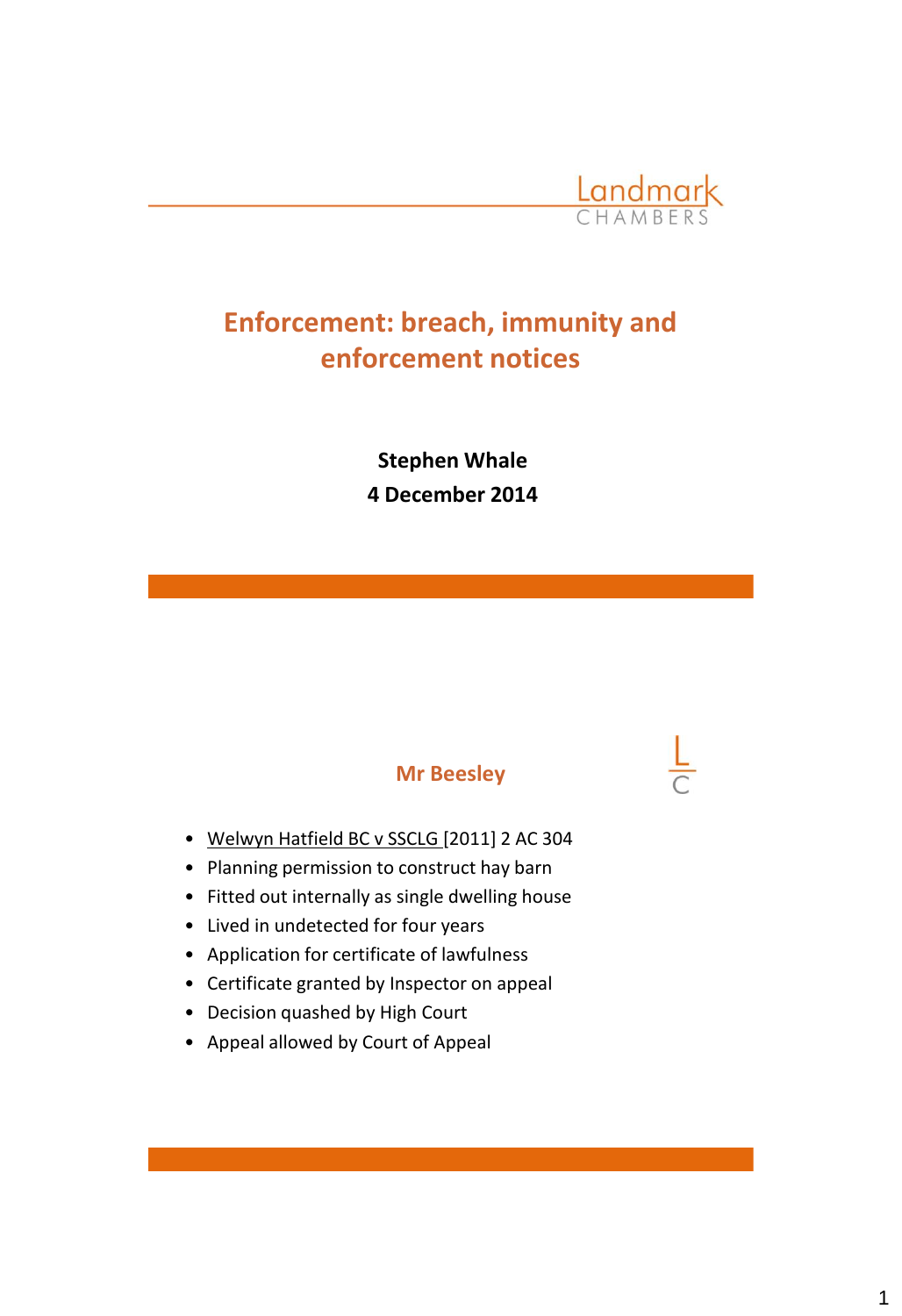

# **Enforcement: breach, immunity and enforcement notices**

**Stephen Whale 4 December 2014** 

# **Mr Beesley**

- Welwyn Hatfield BC v SSCLG [2011] 2 AC 304
- Planning permission to construct hay barn
- Fitted out internally as single dwelling house
- Lived in undetected for four years
- Application for certificate of lawfulness
- Certificate granted by Inspector on appeal
- Decision quashed by High Court
- Appeal allowed by Court of Appeal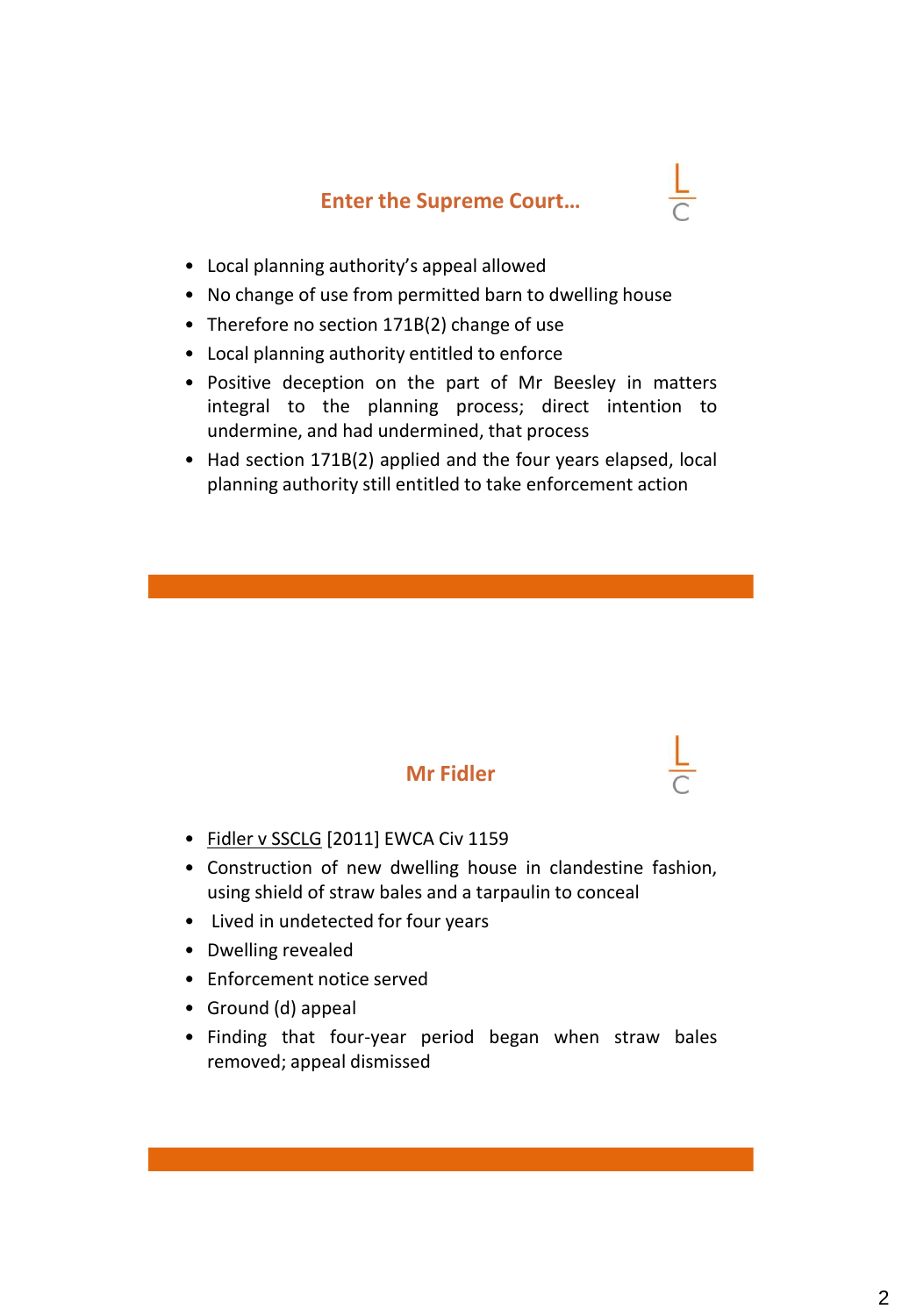# **Enter the Supreme Court…**

- 
- Local planning authority's appeal allowed
- No change of use from permitted barn to dwelling house
- Therefore no section 171B(2) change of use
- Local planning authority entitled to enforce
- Positive deception on the part of Mr Beesley in matters integral to the planning process; direct intention to undermine, and had undermined, that process
- Had section 171B(2) applied and the four years elapsed, local planning authority still entitled to take enforcement action



- Fidler v SSCLG [2011] EWCA Civ 1159
- Construction of new dwelling house in clandestine fashion, using shield of straw bales and a tarpaulin to conceal
- Lived in undetected for four years
- Dwelling revealed
- Enforcement notice served
- Ground (d) appeal
- Finding that four-year period began when straw bales removed; appeal dismissed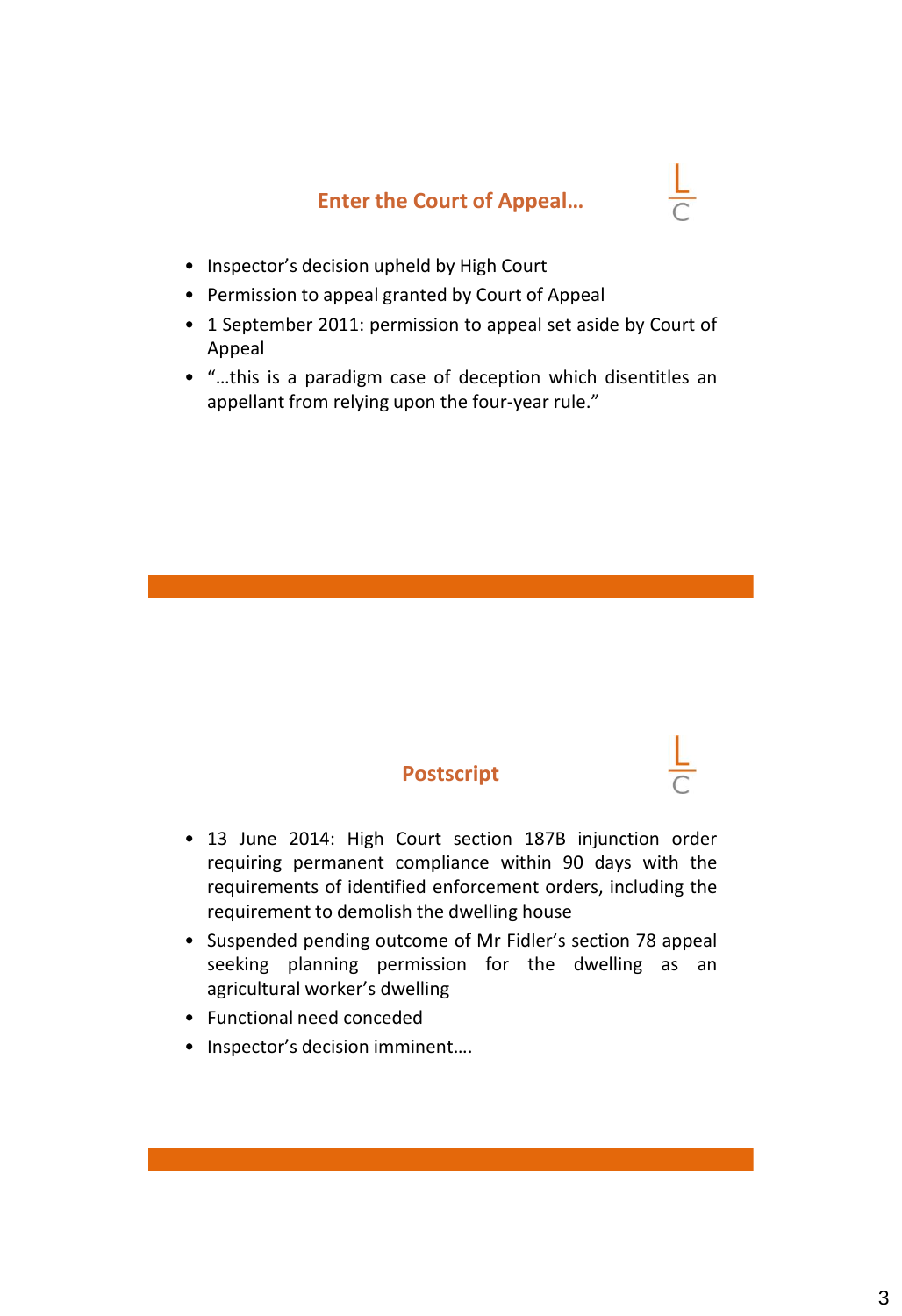# **Enter the Court of Appeal…**

- 
- Inspector's decision upheld by High Court
- Permission to appeal granted by Court of Appeal
- 1 September 2011: permission to appeal set aside by Court of Appeal
- "…this is a paradigm case of deception which disentitles an appellant from relying upon the four-year rule."

### **Postscript**

- 13 June 2014: High Court section 187B injunction order requiring permanent compliance within 90 days with the requirements of identified enforcement orders, including the requirement to demolish the dwelling house
- Suspended pending outcome of Mr Fidler's section 78 appeal seeking planning permission for the dwelling as an agricultural worker's dwelling
- Functional need conceded
- Inspector's decision imminent….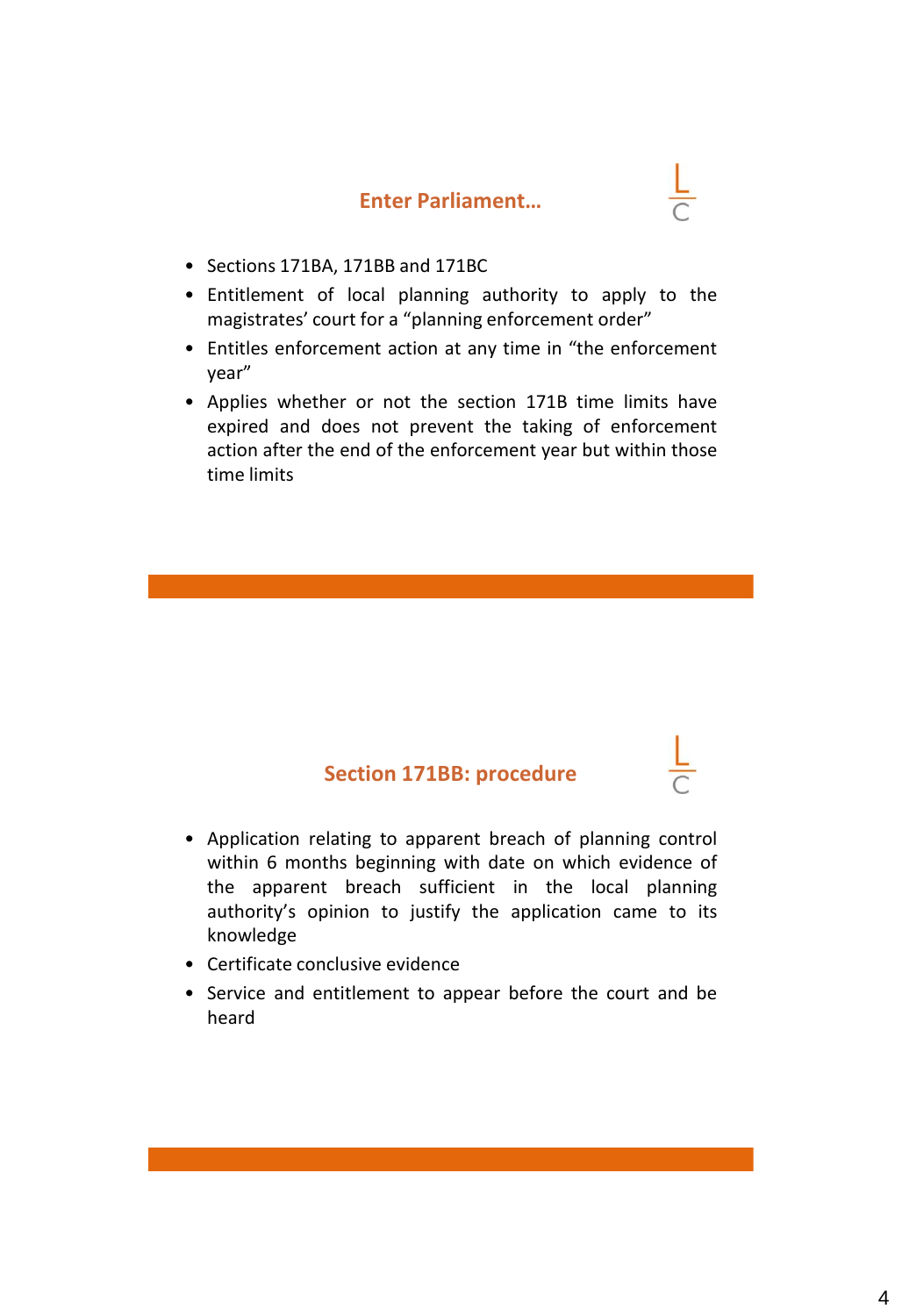#### **Enter Parliament…**

- Sections 171BA, 171BB and 171BC
- Entitlement of local planning authority to apply to the magistrates' court for a "planning enforcement order"
- Entitles enforcement action at any time in "the enforcement year"
- Applies whether or not the section 171B time limits have expired and does not prevent the taking of enforcement action after the end of the enforcement year but within those time limits

#### **Section 171BB: procedure**

- Application relating to apparent breach of planning control within 6 months beginning with date on which evidence of the apparent breach sufficient in the local planning authority's opinion to justify the application came to its knowledge
- Certificate conclusive evidence
- Service and entitlement to appear before the court and be heard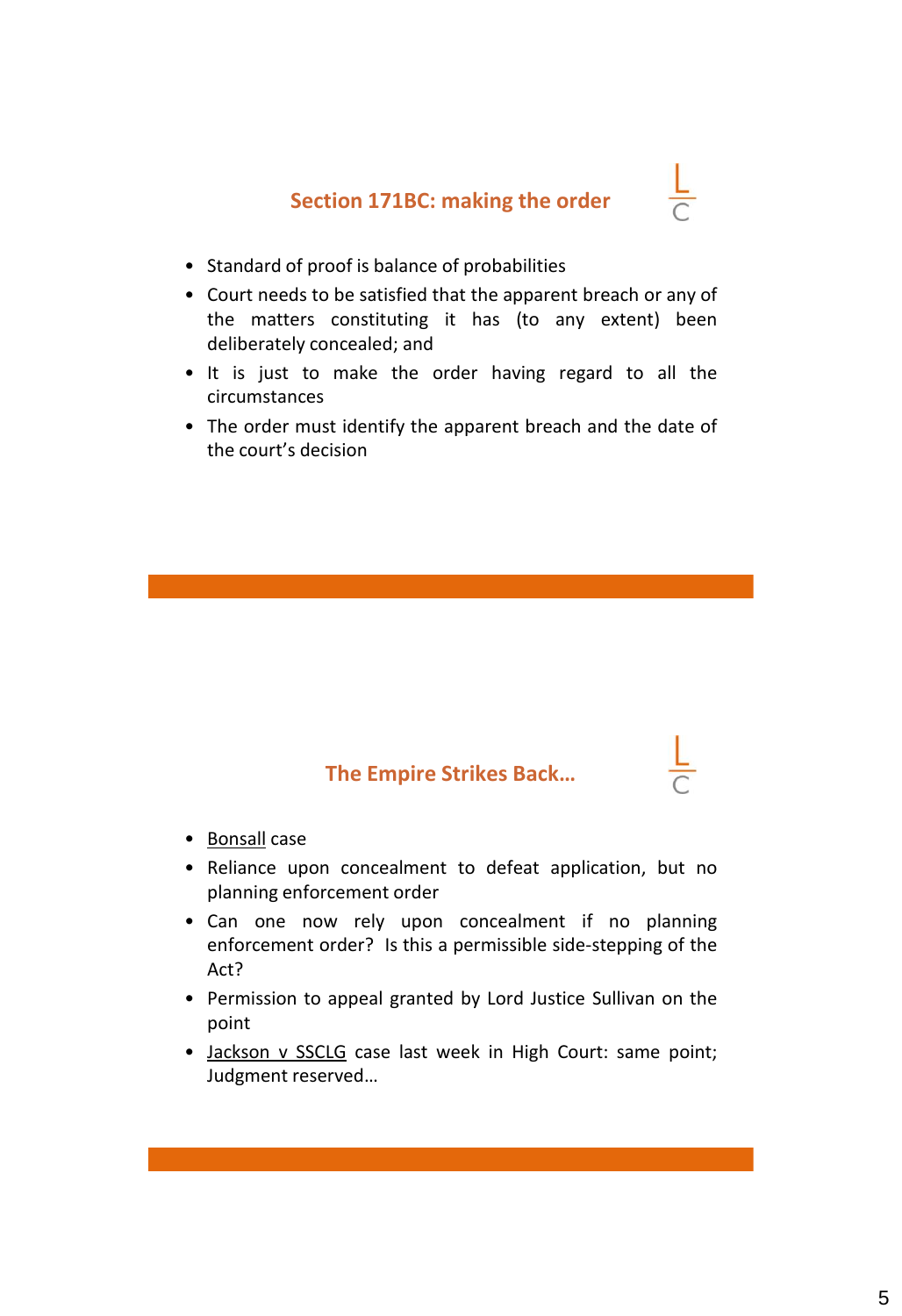

- Standard of proof is balance of probabilities
- Court needs to be satisfied that the apparent breach or any of the matters constituting it has (to any extent) been deliberately concealed; and
- It is just to make the order having regard to all the circumstances
- The order must identify the apparent breach and the date of the court's decision

### **The Empire Strikes Back…**

- Bonsall case
- Reliance upon concealment to defeat application, but no planning enforcement order
- Can one now rely upon concealment if no planning enforcement order? Is this a permissible side-stepping of the Act?
- Permission to appeal granted by Lord Justice Sullivan on the point
- Jackson v SSCLG case last week in High Court: same point; Judgment reserved…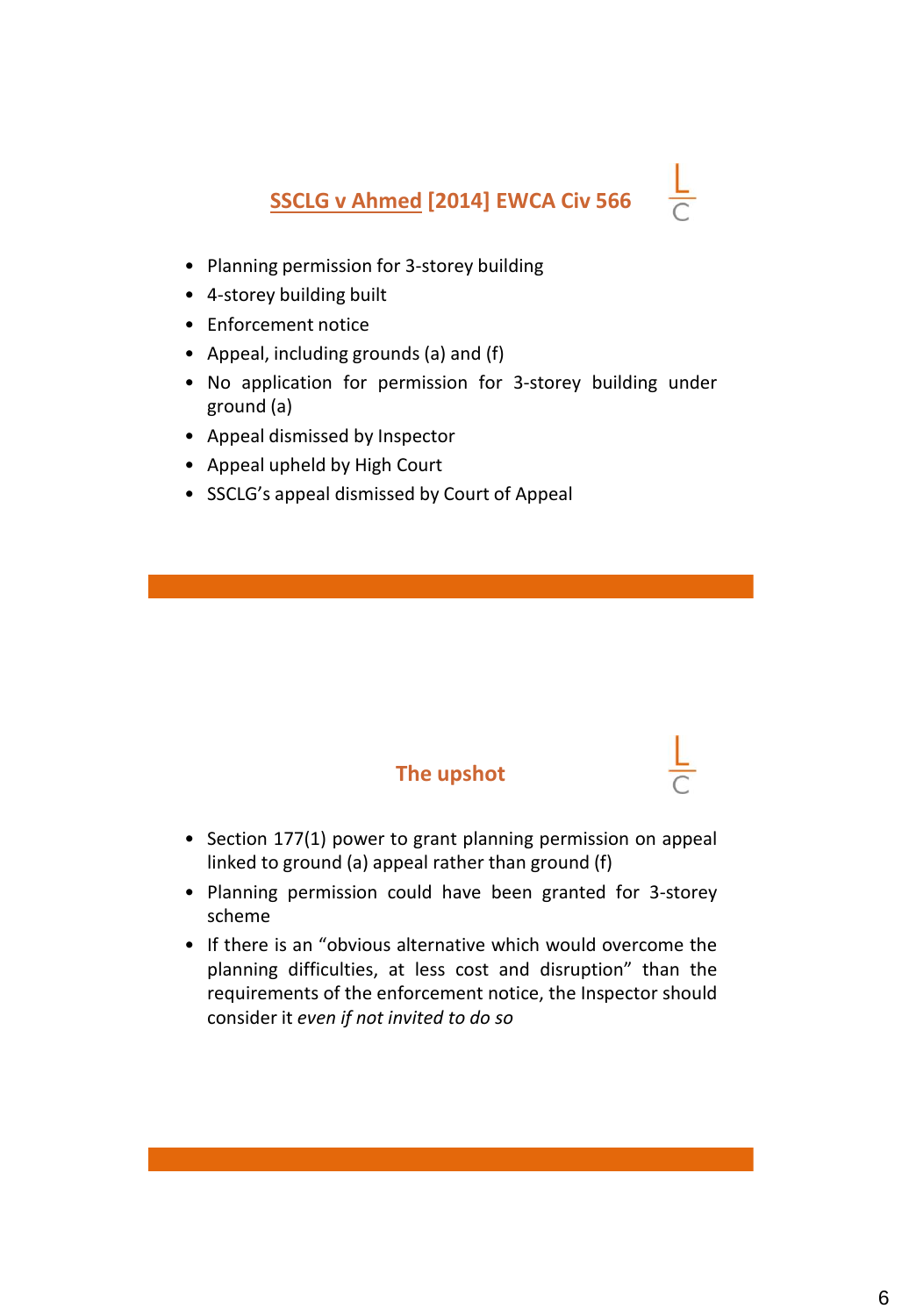# **SSCLG v Ahmed [2014] EWCA Civ 566**

- Planning permission for 3-storey building
- 4-storey building built
- Enforcement notice
- Appeal, including grounds (a) and (f)
- No application for permission for 3-storey building under ground (a)
- Appeal dismissed by Inspector
- Appeal upheld by High Court
- SSCLG's appeal dismissed by Court of Appeal

### **The upshot**

- Section 177(1) power to grant planning permission on appeal linked to ground (a) appeal rather than ground (f)
- Planning permission could have been granted for 3-storey scheme
- If there is an "obvious alternative which would overcome the planning difficulties, at less cost and disruption" than the requirements of the enforcement notice, the Inspector should consider it *even if not invited to do so*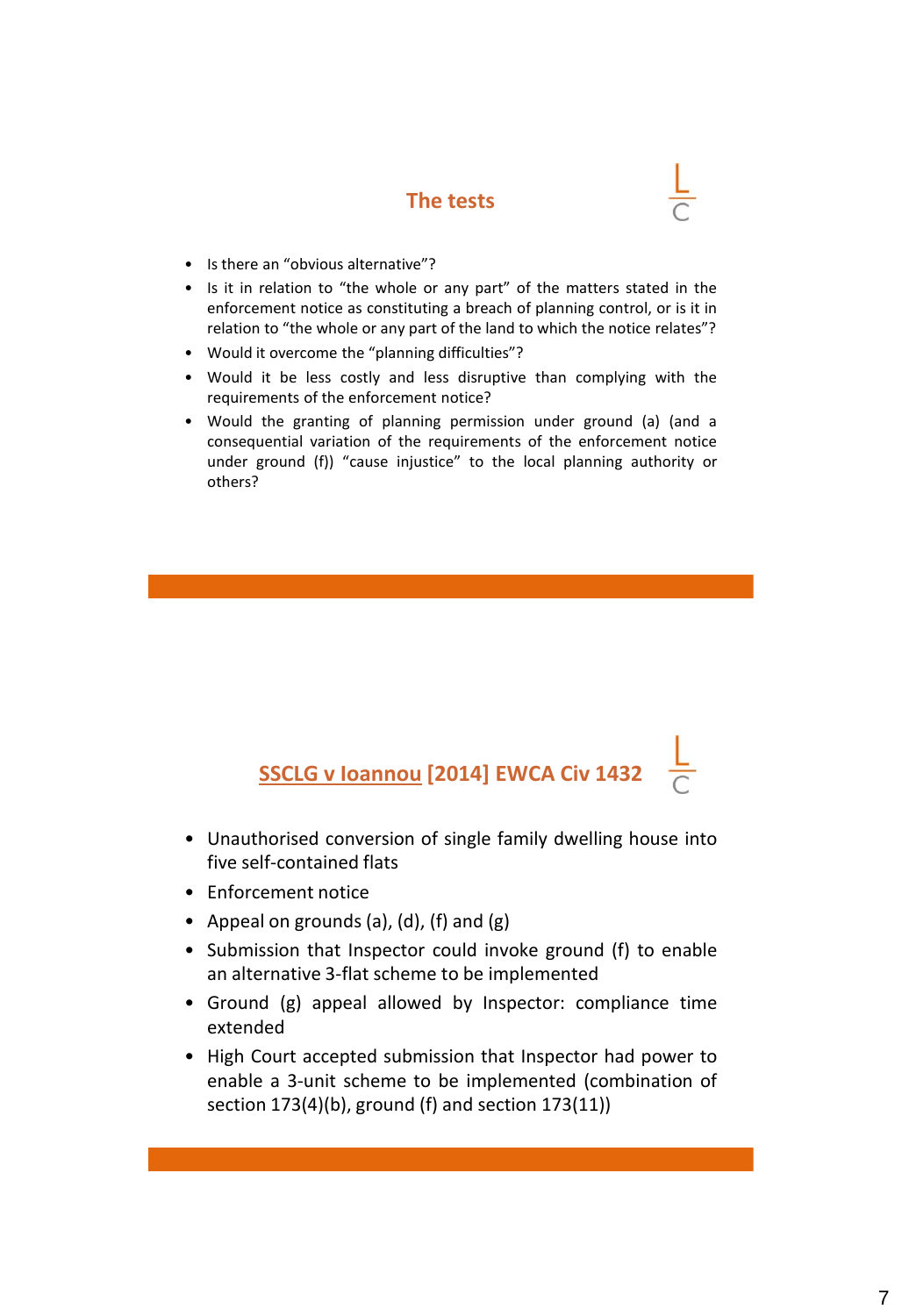### **The tests**

- Is there an "obvious alternative"?
- Is it in relation to "the whole or any part" of the matters stated in the enforcement notice as constituting a breach of planning control, or is it in relation to "the whole or any part of the land to which the notice relates"?
- Would it overcome the "planning difficulties"?
- Would it be less costly and less disruptive than complying with the requirements of the enforcement notice?
- Would the granting of planning permission under ground (a) (and a consequential variation of the requirements of the enforcement notice under ground (f)) "cause injustice" to the local planning authority or others?

# **SSCLG v Ioannou [2014] EWCA Civ 1432**

- Unauthorised conversion of single family dwelling house into five self-contained flats
- Enforcement notice
- Appeal on grounds (a), (d), (f) and (g)
- Submission that Inspector could invoke ground (f) to enable an alternative 3-flat scheme to be implemented
- Ground (g) appeal allowed by Inspector: compliance time extended
- High Court accepted submission that Inspector had power to enable a 3-unit scheme to be implemented (combination of section 173(4)(b), ground (f) and section 173(11))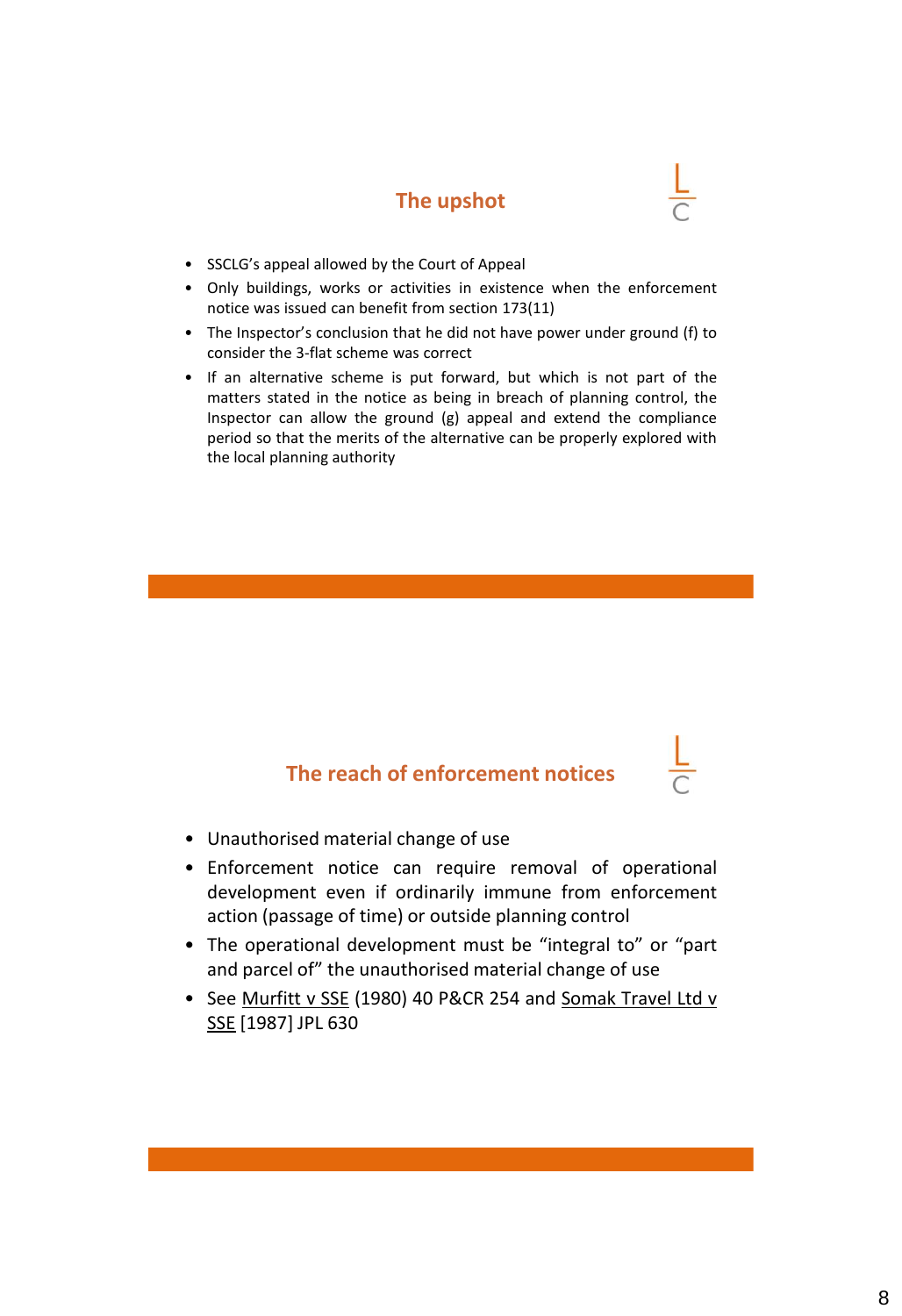### **The upshot**

- SSCLG's appeal allowed by the Court of Appeal
- Only buildings, works or activities in existence when the enforcement notice was issued can benefit from section 173(11)
- The Inspector's conclusion that he did not have power under ground (f) to consider the 3-flat scheme was correct
- If an alternative scheme is put forward, but which is not part of the matters stated in the notice as being in breach of planning control, the Inspector can allow the ground (g) appeal and extend the compliance period so that the merits of the alternative can be properly explored with the local planning authority

### **The reach of enforcement notices**

- Unauthorised material change of use
- Enforcement notice can require removal of operational development even if ordinarily immune from enforcement action (passage of time) or outside planning control
- The operational development must be "integral to" or "part and parcel of" the unauthorised material change of use
- See Murfitt v SSE (1980) 40 P&CR 254 and Somak Travel Ltd v SSE [1987] JPL 630